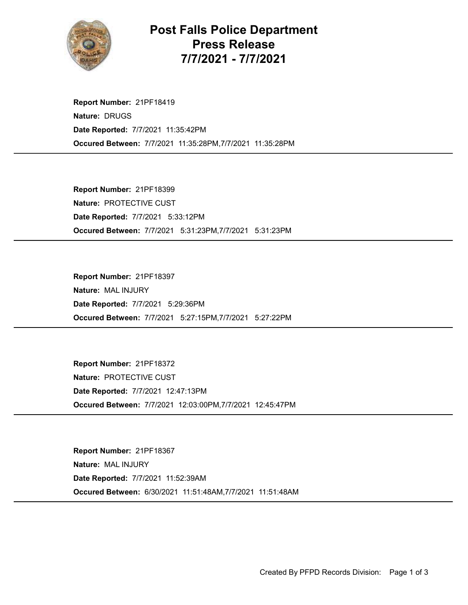

Post Falls Police Department Press Release 7/7/2021 - 7/7/2021

Occured Between: 7/7/2021 11:35:28PM,7/7/2021 11:35:28PM Report Number: 21PF18419 Nature: DRUGS Date Reported: 7/7/2021 11:35:42PM

Occured Between: 7/7/2021 5:31:23PM,7/7/2021 5:31:23PM Report Number: 21PF18399 Nature: PROTECTIVE CUST Date Reported: 7/7/2021 5:33:12PM

Occured Between: 7/7/2021 5:27:15PM,7/7/2021 5:27:22PM Report Number: 21PF18397 Nature: MAL INJURY Date Reported: 7/7/2021 5:29:36PM

Occured Between: 7/7/2021 12:03:00PM,7/7/2021 12:45:47PM Report Number: 21PF18372 Nature: PROTECTIVE CUST Date Reported: 7/7/2021 12:47:13PM

Occured Between: 6/30/2021 11:51:48AM,7/7/2021 11:51:48AM Report Number: 21PF18367 Nature: MAL INJURY Date Reported: 7/7/2021 11:52:39AM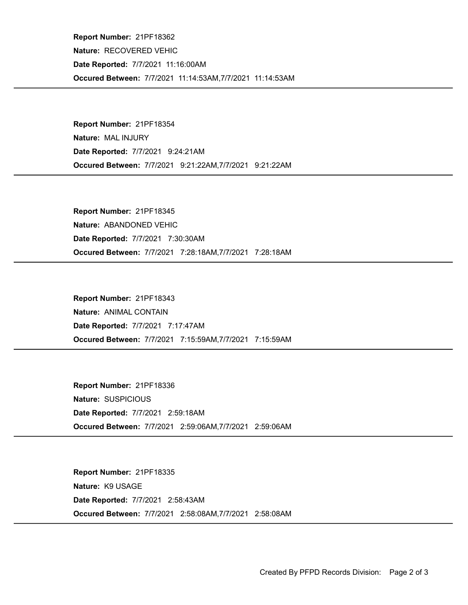Occured Between: 7/7/2021 11:14:53AM,7/7/2021 11:14:53AM Report Number: 21PF18362 Nature: RECOVERED VEHIC Date Reported: 7/7/2021 11:16:00AM

Occured Between: 7/7/2021 9:21:22AM,7/7/2021 9:21:22AM Report Number: 21PF18354 Nature: MAL INJURY Date Reported: 7/7/2021 9:24:21AM

Occured Between: 7/7/2021 7:28:18AM,7/7/2021 7:28:18AM Report Number: 21PF18345 Nature: ABANDONED VEHIC Date Reported: 7/7/2021 7:30:30AM

Occured Between: 7/7/2021 7:15:59AM,7/7/2021 7:15:59AM Report Number: 21PF18343 Nature: ANIMAL CONTAIN Date Reported: 7/7/2021 7:17:47AM

Occured Between: 7/7/2021 2:59:06AM,7/7/2021 2:59:06AM Report Number: 21PF18336 Nature: SUSPICIOUS Date Reported: 7/7/2021 2:59:18AM

Occured Between: 7/7/2021 2:58:08AM,7/7/2021 2:58:08AM Report Number: 21PF18335 Nature: K9 USAGE Date Reported: 7/7/2021 2:58:43AM